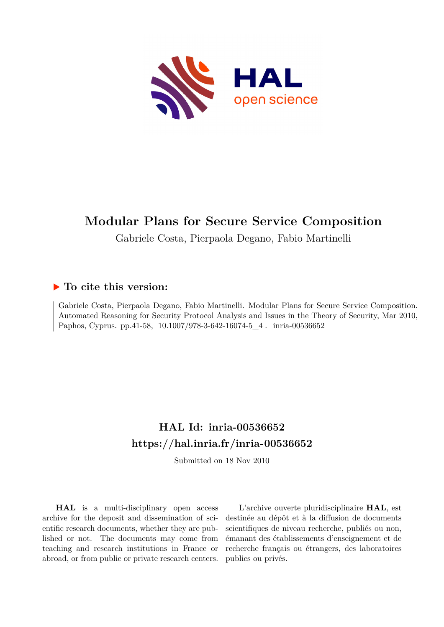

# **Modular Plans for Secure Service Composition**

Gabriele Costa, Pierpaola Degano, Fabio Martinelli

## **To cite this version:**

Gabriele Costa, Pierpaola Degano, Fabio Martinelli. Modular Plans for Secure Service Composition. Automated Reasoning for Security Protocol Analysis and Issues in the Theory of Security, Mar 2010, Paphos, Cyprus. pp.41-58, 10.1007/978-3-642-16074-5\_4. inria-00536652

# **HAL Id: inria-00536652 <https://hal.inria.fr/inria-00536652>**

Submitted on 18 Nov 2010

**HAL** is a multi-disciplinary open access archive for the deposit and dissemination of scientific research documents, whether they are published or not. The documents may come from teaching and research institutions in France or abroad, or from public or private research centers.

L'archive ouverte pluridisciplinaire **HAL**, est destinée au dépôt et à la diffusion de documents scientifiques de niveau recherche, publiés ou non, émanant des établissements d'enseignement et de recherche français ou étrangers, des laboratoires publics ou privés.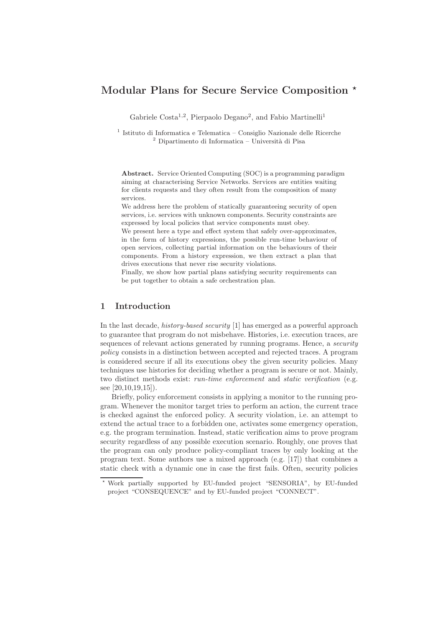## Modular Plans for Secure Service Composition  $\star$

Gabriele Costa<sup>1,2</sup>, Pierpaolo Degano<sup>2</sup>, and Fabio Martinelli<sup>1</sup>

1 Istituto di Informatica e Telematica – Consiglio Nazionale delle Ricerche  $^{\rm 2}$  Dipartimento di Informatica – Università di Pisa

Abstract. Service Oriented Computing (SOC) is a programming paradigm aiming at characterising Service Networks. Services are entities waiting for clients requests and they often result from the composition of many services.

We address here the problem of statically guaranteeing security of open services, i.e. services with unknown components. Security constraints are expressed by local policies that service components must obey.

We present here a type and effect system that safely over-approximates, in the form of history expressions, the possible run-time behaviour of open services, collecting partial information on the behaviours of their components. From a history expression, we then extract a plan that drives executions that never rise security violations.

Finally, we show how partial plans satisfying security requirements can be put together to obtain a safe orchestration plan.

## 1 Introduction

In the last decade, history-based security [1] has emerged as a powerful approach to guarantee that program do not misbehave. Histories, i.e. execution traces, are sequences of relevant actions generated by running programs. Hence, a security policy consists in a distinction between accepted and rejected traces. A program is considered secure if all its executions obey the given security policies. Many techniques use histories for deciding whether a program is secure or not. Mainly, two distinct methods exist: run-time enforcement and static verification (e.g. see [20,10,19,15]).

Briefly, policy enforcement consists in applying a monitor to the running program. Whenever the monitor target tries to perform an action, the current trace is checked against the enforced policy. A security violation, i.e. an attempt to extend the actual trace to a forbidden one, activates some emergency operation, e.g. the program termination. Instead, static verification aims to prove program security regardless of any possible execution scenario. Roughly, one proves that the program can only produce policy-compliant traces by only looking at the program text. Some authors use a mixed approach (e.g. [17]) that combines a static check with a dynamic one in case the first fails. Often, security policies

<sup>⋆</sup> Work partially supported by EU-funded project "SENSORIA", by EU-funded project "CONSEQUENCE" and by EU-funded project "CONNECT".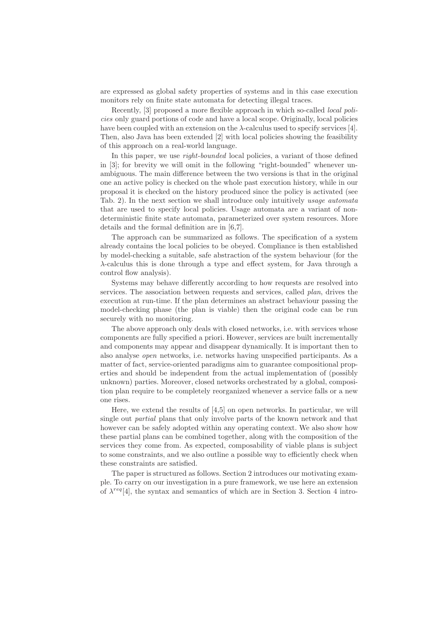are expressed as global safety properties of systems and in this case execution monitors rely on finite state automata for detecting illegal traces.

Recently, [3] proposed a more flexible approach in which so-called local policies only guard portions of code and have a local scope. Originally, local policies have been coupled with an extension on the  $\lambda$ -calculus used to specify services [4]. Then, also Java has been extended [2] with local policies showing the feasibility of this approach on a real-world language.

In this paper, we use right-bounded local policies, a variant of those defined in [3]; for brevity we will omit in the following "right-bounded" whenever unambiguous. The main difference between the two versions is that in the original one an active policy is checked on the whole past execution history, while in our proposal it is checked on the history produced since the policy is activated (see Tab. 2). In the next section we shall introduce only intuitively usage automata that are used to specify local policies. Usage automata are a variant of nondeterministic finite state automata, parameterized over system resources. More details and the formal definition are in [6,7].

The approach can be summarized as follows. The specification of a system already contains the local policies to be obeyed. Compliance is then established by model-checking a suitable, safe abstraction of the system behaviour (for the λ-calculus this is done through a type and effect system, for Java through a control flow analysis).

Systems may behave differently according to how requests are resolved into services. The association between requests and services, called plan, drives the execution at run-time. If the plan determines an abstract behaviour passing the model-checking phase (the plan is viable) then the original code can be run securely with no monitoring.

The above approach only deals with closed networks, i.e. with services whose components are fully specified a priori. However, services are built incrementally and components may appear and disappear dynamically. It is important then to also analyse open networks, i.e. networks having unspecified participants. As a matter of fact, service-oriented paradigms aim to guarantee compositional properties and should be independent from the actual implementation of (possibly unknown) parties. Moreover, closed networks orchestrated by a global, composition plan require to be completely reorganized whenever a service falls or a new one rises.

Here, we extend the results of [4,5] on open networks. In particular, we will single out partial plans that only involve parts of the known network and that however can be safely adopted within any operating context. We also show how these partial plans can be combined together, along with the composition of the services they come from. As expected, composability of viable plans is subject to some constraints, and we also outline a possible way to efficiently check when these constraints are satisfied.

The paper is structured as follows. Section 2 introduces our motivating example. To carry on our investigation in a pure framework, we use here an extension of  $\lambda^{req}[4]$ , the syntax and semantics of which are in Section 3. Section 4 intro-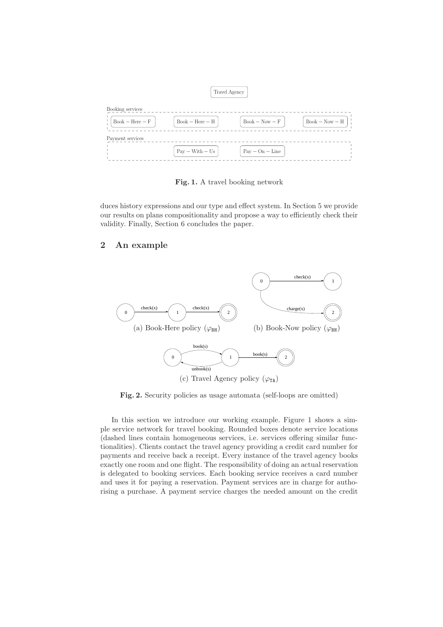|                                       | <b>Travel Agency</b> |                   |                  |
|---------------------------------------|----------------------|-------------------|------------------|
| Booking services<br>$Book - Here - F$ | $Book - Here - H$    | $Book - Now - F$  | $Book - Now - H$ |
| Payment services                      | $Pay - With - Us$    | $Pay - On - Line$ |                  |

Fig. 1. A travel booking network

duces history expressions and our type and effect system. In Section 5 we provide our results on plans compositionality and propose a way to efficiently check their validity. Finally, Section 6 concludes the paper.

## 2 An example



Fig. 2. Security policies as usage automata (self-loops are omitted)

In this section we introduce our working example. Figure 1 shows a simple service network for travel booking. Rounded boxes denote service locations (dashed lines contain homogeneous services, i.e. services offering similar functionalities). Clients contact the travel agency providing a credit card number for payments and receive back a receipt. Every instance of the travel agency books exactly one room and one flight. The responsibility of doing an actual reservation is delegated to booking services. Each booking service receives a card number and uses it for paying a reservation. Payment services are in charge for authorising a purchase. A payment service charges the needed amount on the credit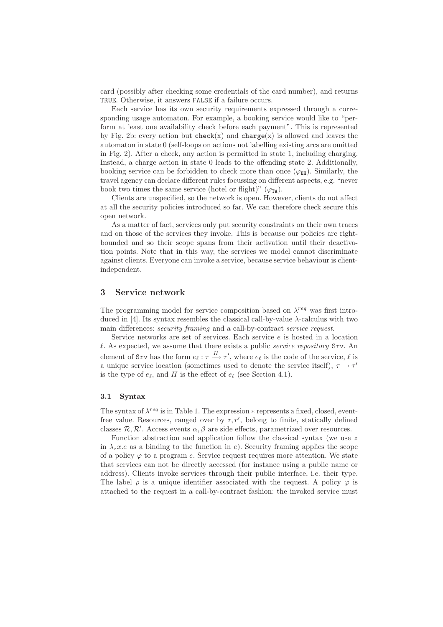card (possibly after checking some credentials of the card number), and returns TRUE. Otherwise, it answers FALSE if a failure occurs.

Each service has its own security requirements expressed through a corresponding usage automaton. For example, a booking service would like to "perform at least one availability check before each payment". This is represented by Fig. 2b: every action but check(x) and charge(x) is allowed and leaves the automaton in state 0 (self-loops on actions not labelling existing arcs are omitted in Fig. 2). After a check, any action is permitted in state 1, including charging. Instead, a charge action in state 0 leads to the offending state 2. Additionally, booking service can be forbidden to check more than once  $(\varphi_{\text{BH}})$ . Similarly, the travel agency can declare different rules focussing on different aspects, e.g. "never book two times the same service (hotel or flight)" ( $\varphi_{TA}$ ).

Clients are unspecified, so the network is open. However, clients do not affect at all the security policies introduced so far. We can therefore check secure this open network.

As a matter of fact, services only put security constraints on their own traces and on those of the services they invoke. This is because our policies are rightbounded and so their scope spans from their activation until their deactivation points. Note that in this way, the services we model cannot discriminate against clients. Everyone can invoke a service, because service behaviour is clientindependent.

## 3 Service network

The programming model for service composition based on  $\lambda^{req}$  was first introduced in [4]. Its syntax resembles the classical call-by-value  $\lambda$ -calculus with two main differences: *security framing* and a call-by-contract *service request*.

Service networks are set of services. Each service  $e$  is hosted in a location  $\ell$ . As expected, we assume that there exists a public service repository  $Srv$ . An element of Srv has the form  $e_{\ell} : \tau \xrightarrow{H} \tau'$ , where  $e_{\ell}$  is the code of the service,  $\ell$  is a unique service location (sometimes used to denote the service itself),  $\tau \rightarrow \tau'$ is the type of  $e_{\ell}$ , and H is the effect of  $e_{\ell}$  (see Section 4.1).

### 3.1 Syntax

The syntax of  $\lambda^{req}$  is in Table 1. The expression  $*$  represents a fixed, closed, eventfree value. Resources, ranged over by  $r, r'$ , belong to finite, statically defined classes  $\mathcal{R}, \mathcal{R}'$ . Access events  $\alpha, \beta$  are side effects, parametrized over resources.

Function abstraction and application follow the classical syntax (we use z in  $\lambda_z x.e$  as a binding to the function in e). Security framing applies the scope of a policy  $\varphi$  to a program e. Service request requires more attention. We state that services can not be directly accessed (for instance using a public name or address). Clients invoke services through their public interface, i.e. their type. The label  $\rho$  is a unique identifier associated with the request. A policy  $\varphi$  is attached to the request in a call-by-contract fashion: the invoked service must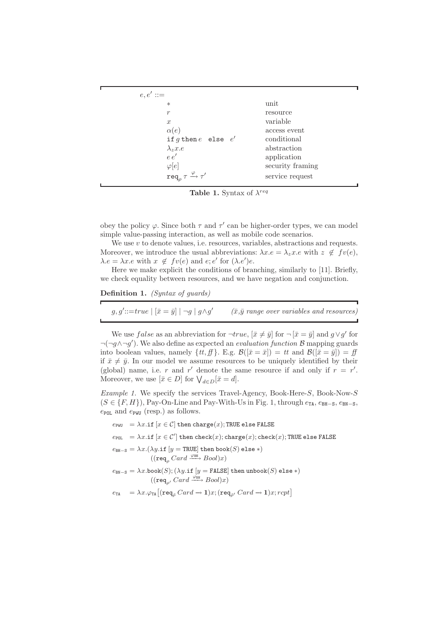| $e, e' ::=$                                                |                  |
|------------------------------------------------------------|------------------|
| $\ast$                                                     | unit             |
| $\mathcal{r}$                                              | resource         |
| $\boldsymbol{x}$                                           | variable         |
| $\alpha(e)$                                                | access event     |
| if $g$ then $e$ else $e'$                                  | conditional      |
| $\lambda_z x.e$                                            | abstraction      |
| e e'                                                       | application      |
| $\varphi[e]$                                               | security framing |
| $\operatorname{req}_\rho \tau \xrightarrow{\varphi} \tau'$ | service request  |

Table 1. Syntax of  $\lambda^{req}$ 

obey the policy  $\varphi$ . Since both  $\tau$  and  $\tau'$  can be higher-order types, we can model simple value-passing interaction, as well as mobile code scenarios.

We use  $v$  to denote values, i.e. resources, variables, abstractions and requests. Moreover, we introduce the usual abbreviations:  $\lambda x.e = \lambda_z x.e$  with  $z \notin f v(e)$ ,  $\lambda.e = \lambda x.e$  with  $x \notin fv(e)$  and  $e; e'$  for  $(\lambda.e')e$ .

Here we make explicit the conditions of branching, similarly to [11]. Briefly, we check equality between resources, and we have negation and conjunction.

Definition 1. *(Syntax of guards)* 

 $\blacksquare$ 

| $g, g':=true \mid [\bar{x} = \bar{y}] \mid \neg g \mid g \wedge g'$ | $(\bar{x}, \bar{y})$ range over variables and resources) |
|---------------------------------------------------------------------|----------------------------------------------------------|
|                                                                     |                                                          |

We use *false* as an abbreviation for  $\neg true$ ,  $[\bar{x} \neq \bar{y}]$  for  $\neg [\bar{x} = \bar{y}]$  and  $g \vee g'$  for  $\neg(\neg g \land \neg g')$ . We also define as expected an *evaluation function* B mapping guards into boolean values, namely  $\{tt, ff\}$ . E.g.  $\mathcal{B}([\bar{x} = \bar{x}]) = tt$  and  $\mathcal{B}([\bar{x} = \bar{y}]) = ff$ if  $\bar{x} \neq \bar{y}$ . In our model we assume resources to be uniquely identified by their (global) name, i.e. r and r' denote the same resource if and only if  $r = r'$ . Moreover, we use  $[\bar{x} \in D]$  for  $\bigvee_{d \in D} [\bar{x} = d].$ 

Example 1. We specify the services Travel-Agency, Book-Here-S, Book-Now-S  $(S \in \{F, H\})$ , Pay-On-Line and Pay-With-Us in Fig. 1, through  $e_{TA}$ ,  $e_{BH-S}$ ,  $e_{BM-S}$ ,  $e_{\text{POL}}$  and  $e_{\text{PWU}}$  (resp.) as follows.

 $e_{\text{PWU}} = \lambda x \text{ if } [x \in \mathcal{C}] \text{ then } \text{charge}(x); \text{TRUE else FALSE}$ 

 $e_\mathtt{POL} = \lambda x.\mathtt{if}\ [x \in \mathcal{C}']$  then  $\mathtt{check}(x);\mathtt{charge}(x);\mathtt{check}(x);\mathtt{TRUE}$  else  $\mathtt{FALSE}$ 

- $e_{\text{BH-S}} = \lambda x.(\lambda y.$ if [y = TRUE] then book(S) else \*)  $((\text{req}_c Card \xrightarrow{\varphi_{\text{BH}}} Bool)x)$
- $e_{\text{BN-S}} = \lambda x.\text{book}(S); (\lambda y.\text{if } [y = \text{FALSE}] \text{ then unbook}(S) \text{ else } *)$  $((\text{req}_{\alpha'} \text{Card} \xrightarrow{\varphi_{\text{BN}}} \text{Bool})x)$
- $e_{\texttt{TA}} = \lambda x.\varphi_{\texttt{TA}} \big[ (\texttt{req}_{\bar{\rho}} \, Card \rightarrow 1) x; (\texttt{req}_{\bar{\rho}'} \, Card \rightarrow 1) x; r c p t \big]$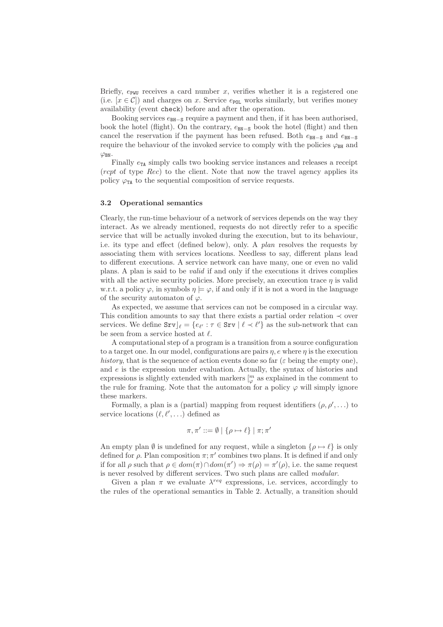Briefly,  $e_{\text{PWD}}$  receives a card number x, verifies whether it is a registered one (i.e.  $[x \in C]$ ) and charges on x. Service  $e_{POL}$  works similarly, but verifies money availability (event check) before and after the operation.

Booking services  $e_{BH-S}$  require a payment and then, if it has been authorised, book the hotel (flight). On the contrary,  $e_{BN-S}$  book the hotel (flight) and then cancel the reservation if the payment has been refused. Both  $e_{BH-S}$  and  $e_{BM-S}$ require the behaviour of the invoked service to comply with the policies  $\varphi_{\text{BH}}$  and  $\varphi_{\rm BN}$ 

Finally  $e_{\text{TA}}$  simply calls two booking service instances and releases a receipt (rcpt of type Rec) to the client. Note that now the travel agency applies its policy  $\varphi_{TA}$  to the sequential composition of service requests.

#### 3.2 Operational semantics

Clearly, the run-time behaviour of a network of services depends on the way they interact. As we already mentioned, requests do not directly refer to a specific service that will be actually invoked during the execution, but to its behaviour, i.e. its type and effect (defined below), only. A plan resolves the requests by associating them with services locations. Needless to say, different plans lead to different executions. A service network can have many, one or even no valid plans. A plan is said to be valid if and only if the executions it drives complies with all the active security policies. More precisely, an execution trace  $\eta$  is valid w.r.t. a policy  $\varphi$ , in symbols  $\eta \models \varphi$ , if and only if it is not a word in the language of the security automaton of  $\varphi$ .

As expected, we assume that services can not be composed in a circular way. This condition amounts to say that there exists a partial order relation  $\prec$  over services. We define  $Srv \rbrack_{\ell} = \{e_{\ell'} : \tau \in Srv \mid \ell \prec \ell' \}$  as the sub-network that can be seen from a service hosted at  $\ell$ .

A computational step of a program is a transition from a source configuration to a target one. In our model, configurations are pairs  $\eta$ , e where  $\eta$  is the execution history, that is the sequence of action events done so far ( $\varepsilon$  being the empty one), and  $e$  is the expression under evaluation. Actually, the syntax of histories and expressions is slightly extended with markers  $\begin{bmatrix} m \\ \varphi \end{bmatrix}$  as explained in the comment to the rule for framing. Note that the automaton for a policy  $\varphi$  will simply ignore these markers.

Formally, a plan is a (partial) mapping from request identifiers  $(\rho, \rho', \ldots)$  to service locations  $(\ell, \ell', \ldots)$  defined as

$$
\pi, \pi' ::= \emptyset \mid \{\rho \mapsto \ell\} \mid \pi; \pi'
$$

An empty plan  $\emptyset$  is undefined for any request, while a singleton  $\{\rho \mapsto \ell\}$  is only defined for  $\rho$ . Plan composition  $\pi$ ;  $\pi'$  combines two plans. It is defined if and only if for all  $\rho$  such that  $\rho \in dom(\pi) \cap dom(\pi') \Rightarrow \pi(\rho) = \pi'(\rho)$ , i.e. the same request is never resolved by different services. Two such plans are called modular.

Given a plan  $\pi$  we evaluate  $\lambda^{req}$  expressions, i.e. services, accordingly to the rules of the operational semantics in Table 2. Actually, a transition should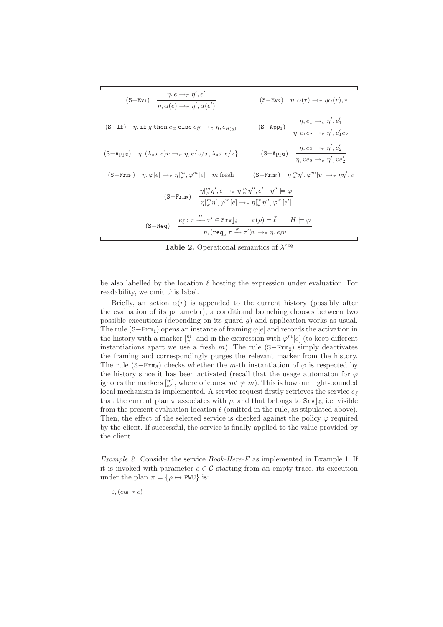$$
(S-Ev_1) \frac{\eta, e \rightarrow_{\pi} \eta', e'}{\eta, \alpha(e) \rightarrow_{\pi} \eta', \alpha(e')}
$$
\n
$$
(S-Ev_2) \eta, \alpha(r) \rightarrow_{\pi} \eta \alpha(r), *
$$
\n
$$
(S-If) \eta, if g then e_{tt} else e_{ff} \rightarrow_{\pi} \eta, e_{\mathcal{B}(g)}
$$
\n
$$
(S-App_1) \frac{\eta, e_1 \rightarrow_{\pi} \eta', e'_1}{\eta, e_1 e_2 \rightarrow_{\pi} \eta', e'_1 e_2}
$$
\n
$$
(S-App_3) \eta, (\lambda_z x.e)v \rightarrow_{\pi} \eta, e\{v/x, \lambda_z x.e/z\}
$$
\n
$$
(S-App_2) \frac{\eta, e_2 \rightarrow_{\pi} \eta', e'_2}{\eta, ve_2 \rightarrow_{\pi} \eta', ve'_2}
$$
\n
$$
(S-Frm_1) \eta, \varphi[e] \rightarrow_{\pi} \eta[_{\varphi}^m, \varphi^m[e] \eta \text{ fresh} \qquad (S-Frm_2) \eta[_{\varphi}^m \eta', \varphi^m[v] \rightarrow_{\pi} \eta \eta', v]
$$
\n
$$
(S-Frm_3) \frac{\eta[_{\varphi}^m \eta', e \rightarrow_{\pi} \eta[_{\varphi}^m \eta'', e'] \eta'' \models \varphi}{\eta[_{\varphi}^m \eta', \varphi^m[e] \rightarrow_{\pi} \eta[_{\varphi}^m \eta'', \varphi^m[e']}
$$
\n
$$
(S-Reg) \frac{e_{\bar{\ell}}: \tau \xrightarrow{H} \tau' \in Srv \parallel_{\ell} \qquad \pi(\rho) = \bar{\ell} \qquad H \models \varphi}{\eta, (req_{\rho} \tau \xrightarrow{\varphi} \tau')v \rightarrow_{\pi} \eta, e_{\bar{\ell}v}}
$$

Table 2. Operational semantics of  $\lambda^{req}$ 

be also labelled by the location  $\ell$  hosting the expression under evaluation. For readability, we omit this label.

Briefly, an action  $\alpha(r)$  is appended to the current history (possibly after the evaluation of its parameter), a conditional branching chooses between two possible executions (depending on its guard  $g$ ) and application works as usual. The rule  $(S-Frm_1)$  opens an instance of framing  $\varphi[e]$  and records the activation in the history with a marker  $\lfloor_{\varphi}^m$ , and in the expression with  $\varphi^m[e]$  (to keep different instantiations apart we use a fresh m). The rule  $(S-Frm_2)$  simply deactivates the framing and correspondingly purges the relevant marker from the history. The rule (S–Frm<sub>3</sub>) checks whether the m-th instantiation of  $\varphi$  is respected by the history since it has been activated (recall that the usage automaton for  $\varphi$ ignores the markers  $\begin{bmatrix} m'\\ \varphi' \end{bmatrix}$ , where of course  $m' \neq m$ ). This is how our right-bounded local mechanism is implemented. A service request firstly retrieves the service  $e_{\bar{\ell}}$ that the current plan  $\pi$  associates with  $\rho$ , and that belongs to  $Srv|_{\ell}$ , i.e. visible from the present evaluation location  $\ell$  (omitted in the rule, as stipulated above). Then, the effect of the selected service is checked against the policy  $\varphi$  required by the client. If successful, the service is finally applied to the value provided by the client.

*Example 2.* Consider the service *Book-Here-F* as implemented in Example 1. If it is invoked with parameter  $c \in \mathcal{C}$  starting from an empty trace, its execution under the plan  $\pi = {\rho \mapsto \text{PWU}}$  is:

ε, (eBH−<sup>F</sup> c)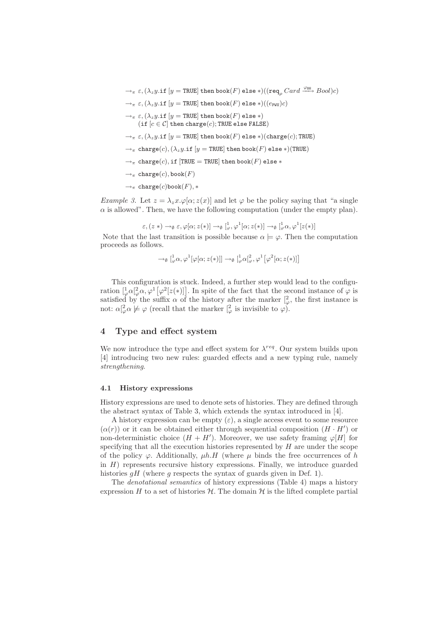$\rightarrow_{\pi} \varepsilon, (\lambda_z y \text{ if } [y = \text{TRUE}] \text{ then book}(F) \text{ else }*)((\text{req}_o \text{ Card } \frac{\varphi_{\text{BH}}}{\rightarrow} \text{Bool})c)$  $\rightarrow_{\pi} \varepsilon$ ,  $(\lambda_z y$ .if  $[y]$  = TRUE then book(F) else \*)( $(e_{\text{PWU}})c$ )  $\rightarrow_{\pi} \varepsilon, (\lambda_z y \text{ if } |y| = \text{TRUE} | \text{ then book}(F) \text{ else } *)$ (if  $[c \in \mathcal{C}]$  then charge $(c)$ ; TRUE else FALSE)  $\rightarrow_{\pi} \varepsilon$ ,  $(\lambda_z y$ , if  $y = \text{TRUE}$  then book(F) else \*)(charge(c); TRUE)  $\rightarrow_{\pi}$  charge $(c)$ ,  $(\lambda_z y$ .if  $[y = \text{TRUE}]$  then book $(F)$  else  $*)$ (TRUE)  $\rightarrow_{\pi}$  charge(c), if [TRUE = TRUE] then book(F) else \*  $\rightarrow_{\pi}$  charge(c), book(F)  $\rightarrow_{\pi}$  charge(c)book(F),\*

*Example 3.* Let  $z = \lambda_z x.\varphi[\alpha; z(x)]$  and let  $\varphi$  be the policy saying that "a single  $\alpha$  is allowed". Then, we have the following computation (under the empty plan).

$$
\varepsilon, (z*) \to_{\emptyset} \varepsilon, \varphi[\alpha; z(*)] \to_{\emptyset} [{}^1_{\varphi}, \varphi^1[\alpha; z(*)] \to_{\emptyset} [{}^1_{\varphi}\alpha, \varphi^1[z(*)]
$$

Note that the last transition is possible because  $\alpha \models \varphi$ . Then the computation proceeds as follows.

$$
\rightarrow_{\emptyset} [\frac{1}{\varphi} \alpha, \varphi^1[\varphi[\alpha; z(*)]] \rightarrow_{\emptyset} [\frac{1}{\varphi} \alpha]_{\varphi}^2, \varphi^1[\varphi^2[\alpha; z(*)]]
$$

This configuration is stuck. Indeed, a further step would lead to the configuration  $\left[\frac{1}{\varphi}\alpha\right]\left[\frac{1}{\varphi^2}[z(\ast)]\right]$ . In spite of the fact that the second instance of  $\varphi$  is satisfied by the suffix  $\alpha$  of the history after the marker  $\mathcal{L}_{\varphi}$ , the first instance is not:  $\alpha_{\varphi}^2 \alpha \not\models \varphi$  (recall that the marker  $_{\varphi}^2$  is invisible to  $\varphi$ ).

## 4 Type and effect system

We now introduce the type and effect system for  $\lambda^{req}$ . Our system builds upon [4] introducing two new rules: guarded effects and a new typing rule, namely strengthening.

#### 4.1 History expressions

History expressions are used to denote sets of histories. They are defined through the abstract syntax of Table 3, which extends the syntax introduced in [4].

A history expression can be empty  $(\varepsilon)$ , a single access event to some resource  $(\alpha(r))$  or it can be obtained either through sequential composition  $(H \cdot H')$  or non-deterministic choice  $(H + H')$ . Moreover, we use safety framing  $\varphi[H]$  for specifying that all the execution histories represented by  $H$  are under the scope of the policy  $\varphi$ . Additionally,  $\mu h$ . H (where  $\mu$  binds the free occurrences of h in  $H$ ) represents recursive history expressions. Finally, we introduce guarded histories  $qH$  (where q respects the syntax of guards given in Def. 1).

The denotational semantics of history expressions (Table 4) maps a history expression H to a set of histories  $H$ . The domain  $H$  is the lifted complete partial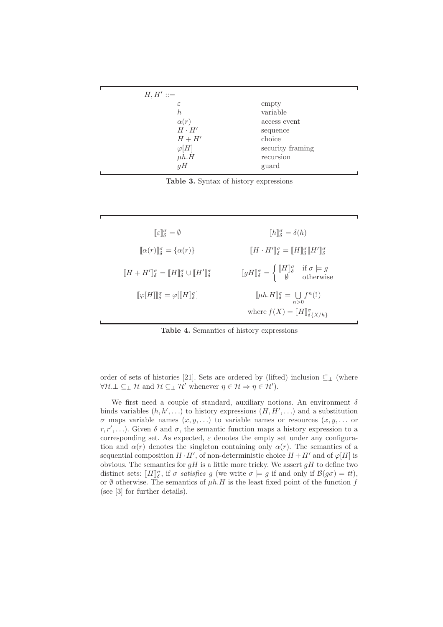| $H, H' ::=$  |                    |
|--------------|--------------------|
| ε            | empty              |
| h            | variable           |
| $\alpha(r)$  | $\rm access$ event |
| $H \cdot H'$ | sequence           |
| $H + H'$     | choice             |
| $\varphi[H]$ | security framing   |
| $\mu h.H$    | recursion          |
| gH           | guard              |

Table 3. Syntax of history expressions

| $\ \varepsilon\ _{\delta}^{\sigma}=\emptyset$                                                                                                | $  h  _s^{\sigma} = \delta(h)$                                                                                                                                   |
|----------------------------------------------------------------------------------------------------------------------------------------------|------------------------------------------------------------------------------------------------------------------------------------------------------------------|
| $\alpha(r)\mathbf{r}_s = \{\alpha(r)\}\$                                                                                                     | $\llbracket H \cdot H' \rrbracket_{\delta}^{\sigma} = \llbracket H \rrbracket_{\delta}^{\sigma} \llbracket H' \rrbracket_{\delta}^{\sigma}$                      |
| $\llbracket H + H' \rrbracket_{\delta}^{\sigma} = \llbracket H \rrbracket_{\delta}^{\sigma} \cup \llbracket H' \rrbracket_{\delta}^{\sigma}$ | $[\![gH]\!]^\sigma_\delta = \left\{ \begin{array}{ll} [\![H]\!]^\sigma_\delta & \text{if } \sigma \models g \\ \emptyset & \text{otherwise} \end{array} \right.$ |
| $[\![\varphi[H]]\!]^\sigma_\delta = \varphi[[H]\!]^\sigma_\delta]$                                                                           | $[\![\mu h.H]\!]^\sigma_\delta = \bigcup_{n>0} f^n(!)$                                                                                                           |
|                                                                                                                                              | where $f(X) = \llbracket H \rrbracket^{\sigma} {\mathcal{S}}_{\{X/h\}}$                                                                                          |

Table 4. Semantics of history expressions

order of sets of histories [21]. Sets are ordered by (lifted) inclusion  $\subseteq_{\perp}$  (where  $\forall \mathcal{H}.\bot \subseteq_{\bot} \mathcal{H} \text{ and } \mathcal{H} \subseteq_{\bot} \mathcal{H}' \text{ whenever } \eta \in \mathcal{H} \Rightarrow \eta \in \mathcal{H}'.$ 

We first need a couple of standard, auxiliary notions. An environment  $\delta$ binds variables  $(h, h', \ldots)$  to history expressions  $(H, H', \ldots)$  and a substitution  $\sigma$  maps variable names  $(x, y, \ldots)$  to variable names or resources  $(x, y, \ldots)$  or  $r, r', \ldots$ ). Given  $\delta$  and  $\sigma$ , the semantic function maps a history expression to a corresponding set. As expected,  $\varepsilon$  denotes the empty set under any configuration and  $\alpha(r)$  denotes the singleton containing only  $\alpha(r)$ . The semantics of a sequential composition  $H \cdot H'$ , of non-deterministic choice  $H + H'$  and of  $\varphi[H]$  is obvious. The semantics for  $gH$  is a little more tricky. We assert  $gH$  to define two distinct sets:  $[H]_{\delta}^{\sigma}$ , if  $\sigma$  satisfies g (we write  $\sigma \models g$  if and only if  $\mathcal{B}(g\sigma) = tt$ ), or  $\emptyset$  otherwise. The semantics of  $\mu h.H$  is the least fixed point of the function f (see [3] for further details).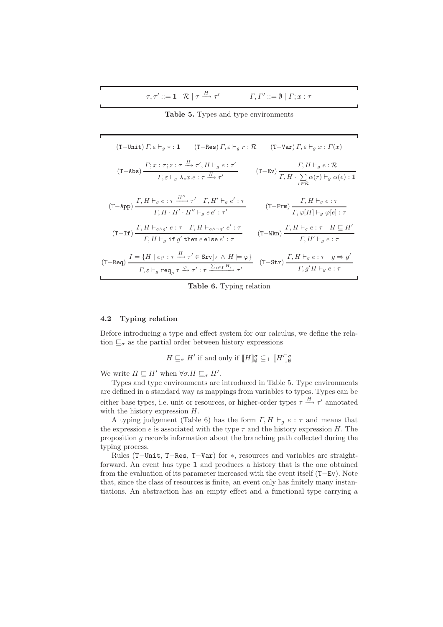Table 5. Types and type environments

(T−Unit)  $\Gamma, \varepsilon \vdash_{q} * : 1$  (T−Res)  $\Gamma, \varepsilon \vdash_{q} r : \mathcal{R}$  (T−Var)  $\Gamma, \varepsilon \vdash_{q} x : \Gamma(x)$  $(T-\text{Abs})$   $\frac{\Gamma; x:\tau; z:\tau \xrightarrow{H} \tau', H\vdash_g e:\tau'}{H}$  $\frac{\Gamma, \Gamma, z : \tau \xrightarrow{\mu} \tau', H \vdash_g e : \tau'}{\Gamma, \varepsilon \vdash_g \lambda_z x . e : \tau \xrightarrow{H} \tau'}$ (T-Ev)  $\frac{\Gamma, H \vdash_g e : \mathcal{R}}{\Gamma, H \cdot \sum \alpha(r) \vdash_g \alpha(r)}$  $\Gamma, H \cdot \sum_{r \in \mathcal{R}} \alpha(r) \vdash_g \alpha(e) : \mathbf{1}$  $(T-\text{App})$   $\frac{\Gamma,H\vdash_g e:\tau\xrightarrow{H''}\tau'\quad \Gamma,H'\vdash_g e':\tau''}{\Gamma\vdash_g f'\vdash_g f''\vdash_g f''}.$  $\frac{d^2g}{dr^2} = \frac{e:\tau \xrightarrow{H} \tau'}{\Gamma, H' \cdot H'' \vdash_g e'} \cdot \frac{d^2f}{dr}$ <br>  $T, H \vdash H' \cdot H'' \vdash_g e e' : \tau'$ <br>  $T, \varphi[H] \vdash_g \varphi[e]$  $\varGamma, \varphi[H] \vdash_g \varphi[e] : \tau$  $(T-If)$   $\frac{\Gamma, H \vdash_{g \wedge g'} e : \tau \quad \Gamma, H \vdash_{g \wedge \neg g'} e' : \tau}{\Gamma, H \vdash_{g \wedge g'} e' : \tau}$  $\frac{H \vdash_{g \wedge g'} e : \tau \quad \Gamma, H \vdash_{g \wedge \neg g'} e' : \tau}{\Gamma, H \vdash_g \text{if } g' \text{ then } e \text{ else } e' : \tau}$ (T-Wkn)  $\frac{\Gamma, H \vdash_g e : \tau \quad H \sqsubseteq H'}{\Gamma, H' \vdash_g e : \tau}$  $\Gamma, H' \vdash_g e : \tau$  $(T-\text{Req}) \xrightarrow{I = \{H \mid e_{\ell'} : \tau \xrightarrow{H} \tau' \in \text{Srv} \downharpoonright_{\ell} \wedge H \models \varphi\}}$  $\frac{F_{\mathcal{F}}\left\{H \mid e_{\ell'}: \tau \xrightarrow{H} \tau' \in \text{Srv} \right\}_{\ell} \wedge H \models \varphi}{\Gamma, \varepsilon \vdash_g \text{req}_\rho \tau \xrightarrow{\varphi} \tau': \tau \xrightarrow{\sum_{i \in I} H_i} \tau'} \frac{\Gamma, H \vdash_g e: \tau \quad g \Rightarrow g'}{\Gamma, g'H \vdash_g e: \tau}$  $\Gamma, g'H \vdash_g e : \tau$ 

Table 6. Typing relation

#### 4.2 Typing relation

Before introducing a type and effect system for our calculus, we define the relation  $\sqsubseteq_{\sigma}$  as the partial order between history expressions

$$
H\sqsubseteq_{\sigma} H'
$$
 if and only if  $[H]_{\emptyset}^{\sigma}\subseteq_{\perp} [H']_{\emptyset}^{\sigma}$ 

We write  $H \sqsubseteq H'$  when  $\forall \sigma . H \sqsubseteq_{\sigma} H'$ .

Types and type environments are introduced in Table 5. Type environments are defined in a standard way as mappings from variables to types. Types can be either base types, i.e. unit or resources, or higher-order types  $\tau \xrightarrow{H} \tau'$  annotated with the history expression H.

A typing judgement (Table 6) has the form  $\Gamma, H \vdash_q e : \tau$  and means that the expression  $e$  is associated with the type  $\tau$  and the history expression  $H$ . The proposition g records information about the branching path collected during the typing process.

Rules (T−Unit, T−Res, T−Var) for ∗, resources and variables are straightforward. An event has type 1 and produces a history that is the one obtained from the evaluation of its parameter increased with the event itself (T−Ev). Note that, since the class of resources is finite, an event only has finitely many instantiations. An abstraction has an empty effect and a functional type carrying a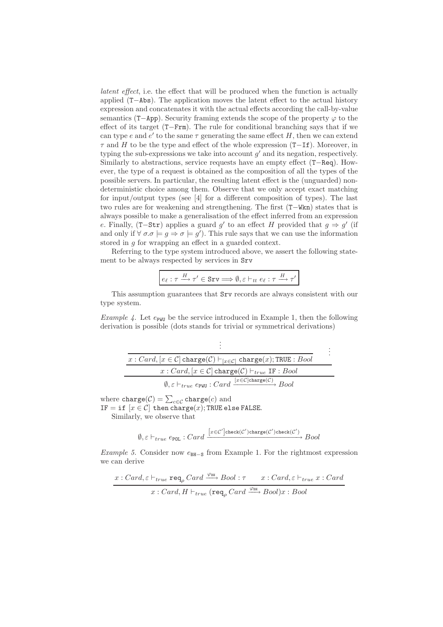latent effect, i.e. the effect that will be produced when the function is actually applied (T−Abs). The application moves the latent effect to the actual history expression and concatenates it with the actual effects according the call-by-value semantics (T−App). Security framing extends the scope of the property  $\varphi$  to the effect of its target (T−Frm). The rule for conditional branching says that if we can type  $e$  and  $e'$  to the same  $\tau$  generating the same effect  $H$ , then we can extend  $\tau$  and H to be the type and effect of the whole expression (T-If). Moreover, in typing the sub-expressions we take into account  $g'$  and its negation, respectively. Similarly to abstractions, service requests have an empty effect (T−Req). However, the type of a request is obtained as the composition of all the types of the possible servers. In particular, the resulting latent effect is the (unguarded) nondeterministic choice among them. Observe that we only accept exact matching for input/output types (see [4] for a different composition of types). The last two rules are for weakening and strengthening. The first (T−Wkn) states that is always possible to make a generalisation of the effect inferred from an expression e. Finally, (T-Str) applies a guard g' to an effect H provided that  $g \Rightarrow g'$  (if and only if  $\forall \sigma.\sigma \models g \Rightarrow \sigma \models g'$ . This rule says that we can use the information stored in g for wrapping an effect in a guarded context.

Referring to the type system introduced above, we assert the following statement to be always respected by services in Srv

$$
e_{\ell}:\tau\xrightarrow{H}\tau'\in\mathtt{Srv}\Longrightarrow\emptyset,\varepsilon\vdash_{tt}e_{\ell}:\tau\xrightarrow{H}\tau'
$$

This assumption guarantees that Srv records are always consistent with our type system.

Example 4. Let  $e_{\text{PWU}}$  be the service introduced in Example 1, then the following derivation is possible (dots stands for trivial or symmetrical derivations)

$$
\begin{array}{c}\n\vdots \\
\hline\nx: Card, [x \in \mathcal{C}] \operatorname{charge}(\mathcal{C}) \vdash_{[x \in \mathcal{C}]} \operatorname{charge}(x); \text{TRUE}: Bool \\
\hline\nx: Card, [x \in \mathcal{C}] \operatorname{charge}(\mathcal{C}) \vdash_{true} \text{IF}: Bool \\
\emptyset, \varepsilon \vdash_{true} e_{\text{PWU}}: Card \xrightarrow{[x \in \mathcal{C}]\operatorname{charge}(\mathcal{C})} Bool\n\end{array}
$$

where  $\texttt{charge}(\mathcal{C}) = \sum_{c \in \mathcal{C}} \texttt{charge}(c)$  and IF = if  $[x \in C]$  then charge $(x)$ ; TRUE else FALSE.

Similarly, we observe that

$$
\emptyset, \varepsilon \vdash_{true} e_{\mathtt{POL}} : Card \xrightarrow{[x \in \mathcal{C}'] \texttt{check}(\mathcal{C}')] \texttt{charge}(\mathcal{C}') \texttt{check}(\mathcal{C}')} Bool
$$

Example 5. Consider now  $e_{\text{BH-S}}$  from Example 1. For the rightmost expression we can derive

$$
\frac{x: Card, \varepsilon \vdash_{true} \texttt{req}_\rho\ Card \xrightarrow{\varphi_{\texttt{BH}}} \mathit{Bool}: \tau \qquad x: Card, \varepsilon \vdash_{true} x: Card }{x: Card, H \vdash_{true} (\texttt{req}_\rho\ Card \xrightarrow{\varphi_{\texttt{BH}}} \mathit{Bool})x:Bool}
$$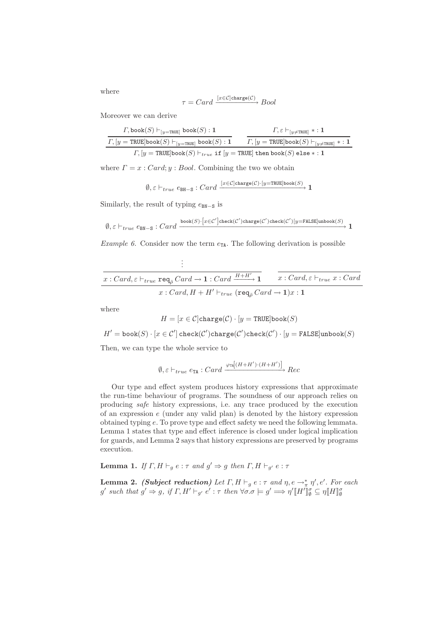where

$$
\tau = Card \xrightarrow{[x \in \mathcal{C}]\text{charge}(\mathcal{C})} Bool
$$

Moreover we can derive

$$
\cfrac{\Gamma, \text{book}(S) \vdash_{[y=\text{TRUE}]} \text{book}(S): 1}{\cfrac{\Gamma, [y=\text{TRUE}]\text{book}(S) \vdash_{[y=\text{TRUE}]} \text{book}(S): 1}{\cfrac{\Gamma, [y=\text{TRUE}]\text{book}(S) \vdash_{[y=\text{TRUE}]} x: 1}{\cfrac{\Gamma, [y=\text{TRUE}]\text{book}(S) \vdash_{[y=\text{TRUE}]} x: 1}{\cfrac{\Gamma, [y=\text{TRUE}]\text{book}(S) \vdash_{[y=\text{TRUE}]} x: 1}}
$$

where  $\Gamma = x : Card; y : Bool.$  Combining the two we obtain

$$
\emptyset, \varepsilon \vdash_{true} e_{\text{BH-S}} : Card \xrightarrow{[x \in \mathcal{C}] \text{charge}(\mathcal{C}) \cdot [y = \text{TRUE}]\text{book}(S)} 1
$$

Similarly, the result of typing  $e_{BN-S}$  is

$$
\emptyset, \varepsilon \vdash_{true} e_{\text{BN}-\text{S}}: Card \xrightarrow{\text{book}(S) \cdot \big[x \in \mathcal{C}^\prime\big] \text{check}(\mathcal{C}^\prime) \text{charge}(\mathcal{C}^\prime) \text{check}(\mathcal{C}^\prime) [y = \text{FALSE}] \text{unbook}(S)} 1
$$

Example 6. Consider now the term  $e_{\text{TA}}$ . The following derivation is possible

$$
\vdots
$$
\n
$$
\vdots
$$
\n
$$
x: Card, \varepsilon \vdash_{true} \text{req}_{\bar{\rho}} Card \to 1: Card \xrightarrow{H+H'} 1 \qquad x: Card, \varepsilon \vdash_{true} x: Card
$$
\n
$$
x: Card, H + H' \vdash_{true} (\text{req}_{\bar{\rho}} Card \to 1)x: 1
$$

where

$$
H = [x \in \mathcal{C}]\texttt{charge}(\mathcal{C}) \cdot [y = \texttt{TRUE}]\texttt{book}(S)
$$

 $H' = \mathtt{book}(S) \cdot [x \in \mathcal{C}']$   $\mathtt{check}(\mathcal{C}')$ charge $(\mathcal{C}')$ check $(\mathcal{C}') \cdot [y = \mathtt{FALSE}]$ unbook $(S)$ 

Then, we can type the whole service to

$$
\emptyset, \varepsilon \vdash_{true} e_{\texttt{TA}} : Card \xrightarrow{\varphi_{\texttt{TA}}[(H+H') \cdot (H+H')] } Rec
$$

Our type and effect system produces history expressions that approximate the run-time behaviour of programs. The soundness of our approach relies on producing safe history expressions, i.e. any trace produced by the execution of an expression  $e$  (under any valid plan) is denoted by the history expression obtained typing e. To prove type and effect safety we need the following lemmata. Lemma 1 states that type and effect inference is closed under logical implication for guards, and Lemma 2 says that history expressions are preserved by programs execution.

**Lemma 1.** If  $\Gamma$ ,  $H \vdash_g e : \tau$  and  $g' \Rightarrow g$  then  $\Gamma$ ,  $H \vdash_{g'} e : \tau$ 

**Lemma 2.** (Subject reduction) Let  $\Gamma$ ,  $H \vdash_g e : \tau$  and  $\eta$ ,  $e \rightarrow^*_{\pi} \eta'$ ,  $e'$ . For each  $g'$  such that  $g' \Rightarrow g$ , if  $\Gamma, H' \vdash_{g'} e' : \tau$  then  $\forall \sigma. \sigma \models g' \Longrightarrow \eta' [\![H']\!]^\sigma_g \subseteq \eta [\![H]\!]^\sigma_g$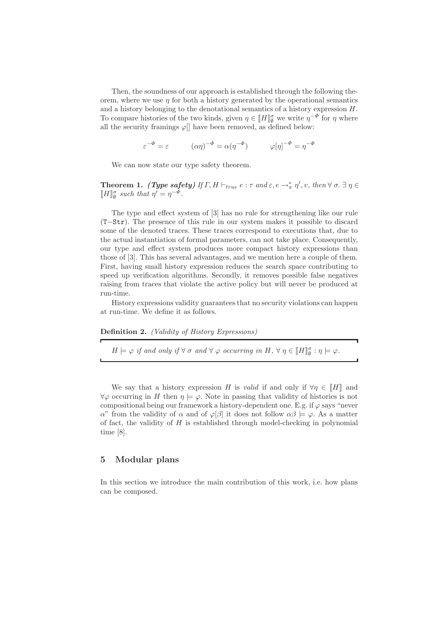Then, the soundness of our approach is established through the following theorem, where we use  $\eta$  for both a history generated by the operational semantics and a history belonging to the denotational semantics of a history expression H. To compare histories of the two kinds, given  $\eta \in [H]_{\emptyset}^{\sigma}$  we write  $\eta^{-\Phi}$  for  $\eta$  where all the security framings  $\varphi$ [] have been removed, as defined below:

$$
\varepsilon^{-\Phi} = \varepsilon \qquad (\alpha \eta)^{-\Phi} = \alpha (\eta^{-\Phi}) \qquad \varphi[\eta]^{-\Phi} = \eta^{-\Phi}
$$

We can now state our type safety theorem.

**Theorem 1.** (Type safety) If  $\Gamma$ ,  $H \vdash_{true} e : \tau$  and  $\varepsilon$ ,  $e \rightarrow_{\pi}^* \eta'$ ,  $v$ , then  $\forall \sigma \in \exists \eta \in$  $\llbracket H \rrbracket_{\emptyset}^{\sigma}$  such that  $\eta' = \eta^{-\Phi}$ .

The type and effect system of [3] has no rule for strengthening like our rule (T−Str). The presence of this rule in our system makes it possible to discard some of the denoted traces. These traces correspond to executions that, due to the actual instantiation of formal parameters, can not take place. Consequently, our type and effect system produces more compact history expressions than those of [3]. This has several advantages, and we mention here a couple of them. First, having small history expression reduces the search space contributing to speed up verification algorithms. Secondly, it removes possible false negatives raising from traces that violate the active policy but will never be produced at run-time.

History expressions validity guarantees that no security violations can happen at run-time. We define it as follows.

Definition 2. (Validity of History Expressions)

 $H \models \varphi$  if and only if  $\forall \sigma$  and  $\forall \varphi$  occurring in  $H$ ,  $\forall \eta \in \llbracket H \rrbracket_{\emptyset}^{\sigma} : \eta \models \varphi$ .

We say that a history expression H is valid if and only if  $\forall \eta \in \llbracket H \rrbracket$  and  $\forall \varphi$  occurring in H then  $\eta \models \varphi$ . Note in passing that validity of histories is not compositional being our framework a history-dependent one. E.g. if  $\varphi$  says "never α" from the validity of α and of  $\varphi[\beta]$  it does not follow  $\alpha\beta \models \varphi$ . As a matter of fact, the validity of  $H$  is established through model-checking in polynomial time [8].

## 5 Modular plans

In this section we introduce the main contribution of this work, i.e. how plans can be composed.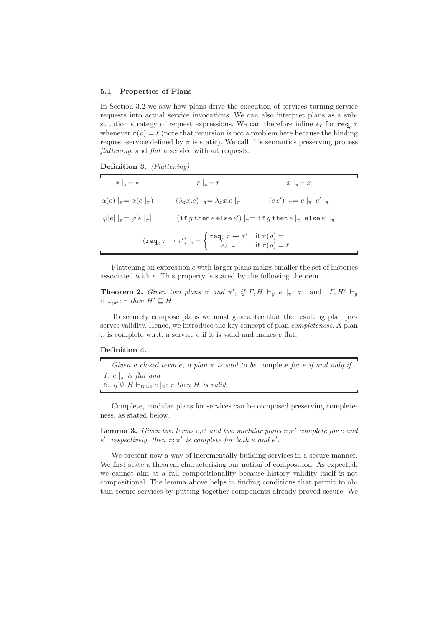#### 5.1 Properties of Plans

In Section 3.2 we saw how plans drive the execution of services turning service requests into actual service invocations. We can also interpret plans as a substitution strategy of request expressions. We can therefore inline  $e_{\ell}$  for  $\texttt{req}_\rho \tau$ whenever  $\pi(\rho) = \ell$  (note that recursion is not a problem here because the binding request-service defined by  $\pi$  is static). We call this semantics preserving process flattening, and flat a service without requests.

#### Definition 3. (Flattening)

| $* _{\pi} = *$                                | $r\mid_{\pi}=r$                                                                                                                                                                                           | $x\mid_{\pi} = x$                                                                                                                  |
|-----------------------------------------------|-----------------------------------------------------------------------------------------------------------------------------------------------------------------------------------------------------------|------------------------------------------------------------------------------------------------------------------------------------|
| $\alpha(e) \mid_{\pi} = \alpha(e \mid_{\pi})$ | $(\lambda_z x.e) \mid_{\pi} = \lambda_z x.e \mid_{\pi}$                                                                                                                                                   | $(e e') _{\pi} = e _{\pi} e' _{\pi}$                                                                                               |
| $\varphi e _{\pi} = \varphi e _{\pi}$         |                                                                                                                                                                                                           | $(\text{if } g \text{ then } e \text{ else } e') \mid_{\pi} = \text{if } g \text{ then } e \mid_{\pi} \text{ else } e' \mid_{\pi}$ |
|                                               | $(\operatorname{req}_{\rho} \tau \to \tau')  _{\pi} = \begin{cases} \operatorname{req}_{\rho} \tau \to \tau' & \text{if } \pi(\rho) = \bot \\ e_{\ell}  _{\pi} & \text{if } \pi(\rho) = \ell \end{cases}$ |                                                                                                                                    |

Flattening an expression e with larger plans makes smaller the set of histories associated with e. This property is stated by the following theorem.

**I** 

**Theorem 2.** Given two plans  $\pi$  and  $\pi'$ , if  $\Gamma$ ,  $H \vdash_g e \mid_{\pi}: \tau$  and  $\Gamma$ ,  $H' \vdash_g$  $e \mid_{\pi:\pi'} : \tau \text{ then } H' \sqsubseteq H$ 

To securely compose plans we must guarantee that the resulting plan preserves validity. Hence, we introduce the key concept of plan completeness. A plan  $\pi$  is complete w.r.t. a service e if it is valid and makes e flat.

#### Definition 4.

Given a closed term e, a plan  $\pi$  is said to be complete for e if and only if 1. e  $\vert_{\pi}$  is flat and 2. if  $\emptyset$ ,  $H \vdash_{true} e \mid_{\pi}: \tau$  then  $H$  is valid.

Complete, modular plans for services can be composed preserving completeness, as stated below.

**Lemma 3.** Given two terms  $e,e'$  and two modular plans  $\pi,\pi'$  complete for e and e', respectively, then  $\pi; \pi'$  is complete for both e and e'.

We present now a way of incrementally building services in a secure manner. We first state a theorem characterising our notion of composition. As expected, we cannot aim at a full compositionality because history validity itself is not compositional. The lemma above helps in finding conditions that permit to obtain secure services by putting together components already proved secure. We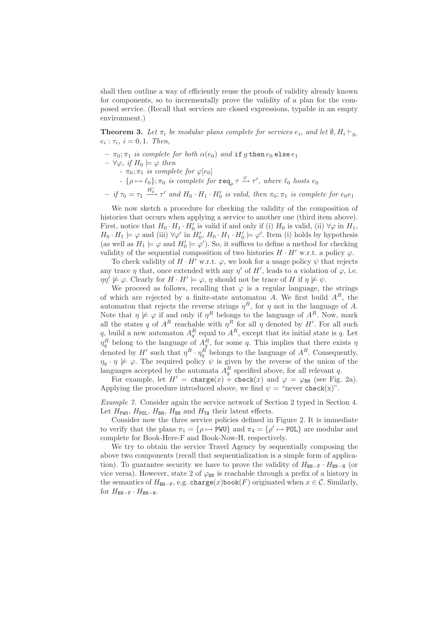shall then outline a way of efficiently reuse the proofs of validity already known for components, so to incrementally prove the validity of a plan for the composed service. (Recall that services are closed expressions, typable in an empty environment.)

**Theorem 3.** Let  $\pi_i$  be modular plans complete for services  $e_i$ , and let  $\emptyset$ ,  $H_i \vdash_{g_i}$  $e_i : \tau_i, i = 0, 1$ . Then,

- $\pi_0$ ;  $\pi_1$  is complete for both  $\alpha(e_0)$  and if  $g$  then  $e_0$  else  $e_1$
- $\forall \varphi, \text{ if } H_0 \models \varphi \text{ then}$ 
	- $\pi_0$ ;  $\pi_1$  is complete for  $\varphi[e_0]$
	- $-\{\rho \mapsto \ell_0\}; \pi_0$  is complete for  $\operatorname{req}_\rho \tau \xrightarrow{\varphi} \tau'$ , where  $\ell_0$  hosts  $e_0$
- $-$  if  $\tau_0 = \tau_1 \stackrel{H'_0}{\longrightarrow} \tau'$  and  $H_0 \cdot H_1 \cdot H'_0$  is valid, then  $\pi_0$ ;  $\pi_1$  is complete for  $e_0e_1$

We now sketch a procedure for checking the validity of the composition of histories that occurs when applying a service to another one (third item above). First, notice that  $H_0 \cdot H_1 \cdot H'_0$  is valid if and only if (i)  $H_0$  is valid, (ii)  $\forall \varphi$  in  $H_1$ ,  $H_0 \cdot H_1 \models \varphi$  and (iii)  $\forall \varphi'$  in  $H'_0$ ,  $H_0 \cdot H_1 \cdot H'_0 \models \varphi'$ . Item (i) holds by hypothesis (as well as  $H_1 \models \varphi$  and  $H'_0 \models \varphi'$ ). So, it suffices to define a method for checking validity of the sequential composition of two histories  $H \cdot H'$  w.r.t. a policy  $\varphi$ .

To check validity of  $H \cdot H'$  w.r.t.  $\varphi$ , we look for a usage policy  $\psi$  that rejects any trace  $\eta$  that, once extended with any  $\eta'$  of H', leads to a violation of  $\varphi$ , i.e.  $\eta \eta' \not\models \varphi$ . Clearly for  $H \cdot H' \models \varphi$ ,  $\eta$  should not be trace of H if  $\eta \not\models \psi$ .

We proceed as follows, recalling that  $\varphi$  is a regular language, the strings of which are rejected by a finite-state automaton A. We first build  $A<sup>R</sup>$ , the automaton that rejects the reverse strings  $\eta^R$ , for  $\eta$  not in the language of A. Note that  $\eta \not\models \varphi$  if and only if  $\eta^R$  belongs to the language of  $A^R$ . Now, mark all the states q of  $A^R$  reachable with  $\eta^R$  for all  $\eta$  denoted by H'. For all such q, build a new automaton  $A_q^R$  equal to  $A^R$ , except that its initial state is q. Let  $\eta_q^R$  belong to the language of  $A_q^R$ , for some q. This implies that there exists  $\eta$ denoted by  $H'$  such that  $\eta^R \cdot \eta^R_q$  belongs to the language of  $A^R$ . Consequently,  $\eta_q \cdot \eta \not\models \varphi$ . The required policy  $\psi$  is given by the reverse of the union of the languages accepted by the automata  $A_q^R$  specified above, for all relevant q.

For example, let  $H' = \texttt{charge}(x) + \texttt{check}(x)$  and  $\varphi = \varphi_{\texttt{BH}}$  (see Fig. 2a). Applying the procedure introduced above, we find  $\psi = \text{``never check}(x)$ ".

Example 7. Consider again the service network of Section 2 typed in Section 4. Let  $H_{\text{PWD}}$ ,  $H_{\text{POL}}$ ,  $H_{\text{BH}}$ ,  $H_{\text{BN}}$  and  $H_{\text{TA}}$  their latent effects.

Consider now the three service policies defined in Figure 2. It is immediate to verify that the plans  $\pi_1 = {\rho \mapsto \text{PWD}}$  and  $\pi_4 = {\rho' \mapsto \text{POL}}$  are modular and complete for Book-Here-F and Book-Now-H, respectively.

We try to obtain the service Travel Agency by sequentially composing the above two components (recall that sequentialization is a simple form of application). To guarantee security we have to prove the validity of  $H_{BH-F} \cdot H_{BM-H}$  (or vice versa). However, state 2 of  $\varphi_{BN}$  is reachable through a prefix of a history in the semantics of  $H_{\text{BH-F}}$ , e.g. charge(x)book(F) originated when  $x \in \mathcal{C}$ . Similarly, for  $H_{BN-F} \cdot H_{BH-H}$ .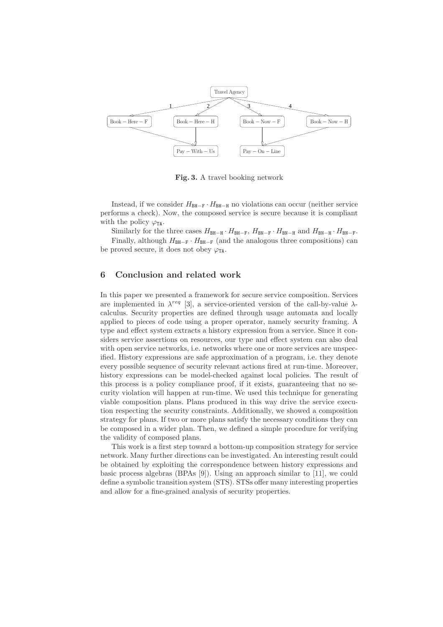

Fig. 3. A travel booking network

Instead, if we consider  $H_{BH-F} \cdot H_{BH-H}$  no violations can occur (neither service performs a check). Now, the composed service is secure because it is compliant with the policy  $\varphi_{TA}$ .

Similarly for the three cases  $H_{\text{BH}-\text{H}} \cdot H_{\text{BH}-\text{F}} \cdot H_{\text{BN}-\text{H}}$  and  $H_{\text{BN}-\text{H}} \cdot H_{\text{BN}-\text{F}}$ . Finally, although  $H_{\text{BH-F}} \cdot H_{\text{BH-F}}$  (and the analogous three compositions) can be proved secure, it does not obey  $\varphi_{T_A}$ .

## 6 Conclusion and related work

In this paper we presented a framework for secure service composition. Services are implemented in  $\lambda^{req}$  [3], a service-oriented version of the call-by-value  $\lambda$ calculus. Security properties are defined through usage automata and locally applied to pieces of code using a proper operator, namely security framing. A type and effect system extracts a history expression from a service. Since it considers service assertions on resources, our type and effect system can also deal with open service networks, i.e. networks where one or more services are unspecified. History expressions are safe approximation of a program, i.e. they denote every possible sequence of security relevant actions fired at run-time. Moreover, history expressions can be model-checked against local policies. The result of this process is a policy compliance proof, if it exists, guaranteeing that no security violation will happen at run-time. We used this technique for generating viable composition plans. Plans produced in this way drive the service execution respecting the security constraints. Additionally, we showed a composition strategy for plans. If two or more plans satisfy the necessary conditions they can be composed in a wider plan. Then, we defined a simple procedure for verifying the validity of composed plans.

This work is a first step toward a bottom-up composition strategy for service network. Many further directions can be investigated. An interesting result could be obtained by exploiting the correspondence between history expressions and basic process algebras (BPAs [9]). Using an approach similar to [11], we could define a symbolic transition system (STS). STSs offer many interesting properties and allow for a fine-grained analysis of security properties.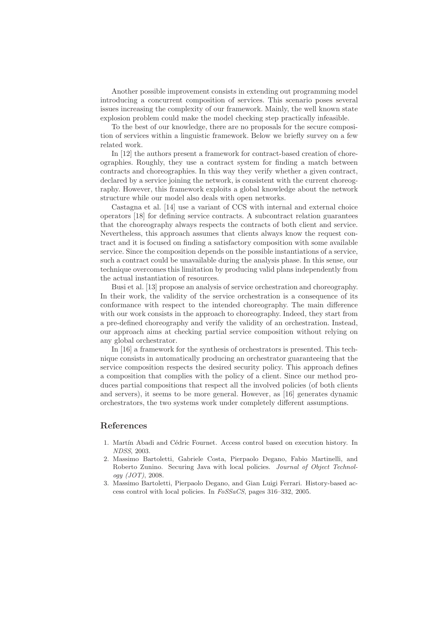Another possible improvement consists in extending out programming model introducing a concurrent composition of services. This scenario poses several issues increasing the complexity of our framework. Mainly, the well known state explosion problem could make the model checking step practically infeasible.

To the best of our knowledge, there are no proposals for the secure composition of services within a linguistic framework. Below we briefly survey on a few related work.

In [12] the authors present a framework for contract-based creation of choreographies. Roughly, they use a contract system for finding a match between contracts and choreographies. In this way they verify whether a given contract, declared by a service joining the network, is consistent with the current choreography. However, this framework exploits a global knowledge about the network structure while our model also deals with open networks.

Castagna et al. [14] use a variant of CCS with internal and external choice operators [18] for defining service contracts. A subcontract relation guarantees that the choreography always respects the contracts of both client and service. Nevertheless, this approach assumes that clients always know the request contract and it is focused on finding a satisfactory composition with some available service. Since the composition depends on the possible instantiations of a service, such a contract could be unavailable during the analysis phase. In this sense, our technique overcomes this limitation by producing valid plans independently from the actual instantiation of resources.

Busi et al. [13] propose an analysis of service orchestration and choreography. In their work, the validity of the service orchestration is a consequence of its conformance with respect to the intended choreography. The main difference with our work consists in the approach to choreography. Indeed, they start from a pre-defined choreography and verify the validity of an orchestration. Instead, our approach aims at checking partial service composition without relying on any global orchestrator.

In [16] a framework for the synthesis of orchestrators is presented. This technique consists in automatically producing an orchestrator guaranteeing that the service composition respects the desired security policy. This approach defines a composition that complies with the policy of a client. Since our method produces partial compositions that respect all the involved policies (of both clients and servers), it seems to be more general. However, as [16] generates dynamic orchestrators, the two systems work under completely different assumptions.

### References

- 1. Martín Abadi and Cédric Fournet. Access control based on execution history. In *NDSS*, 2003.
- 2. Massimo Bartoletti, Gabriele Costa, Pierpaolo Degano, Fabio Martinelli, and Roberto Zunino. Securing Java with local policies. *Journal of Object Technology (JOT)*, 2008.
- 3. Massimo Bartoletti, Pierpaolo Degano, and Gian Luigi Ferrari. History-based access control with local policies. In *FoSSaCS*, pages 316–332, 2005.